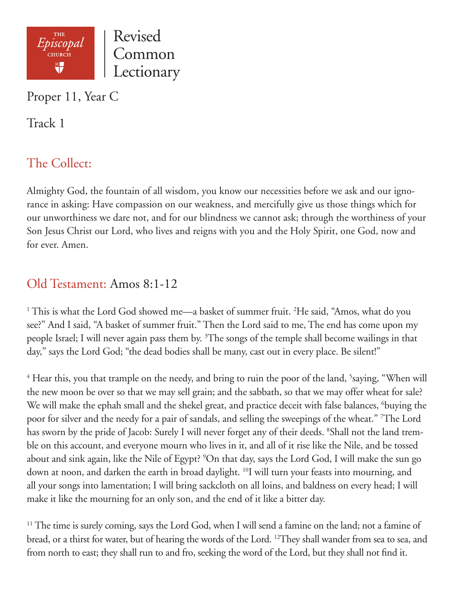

Proper 11, Year C

Track 1

# The Collect:

Almighty God, the fountain of all wisdom, you know our necessities before we ask and our ignorance in asking: Have compassion on our weakness, and mercifully give us those things which for our unworthiness we dare not, and for our blindness we cannot ask; through the worthiness of your Son Jesus Christ our Lord, who lives and reigns with you and the Holy Spirit, one God, now and for ever. Amen.

### Old Testament: Amos 8:1-12

<sup>1</sup> This is what the Lord God showed me—a basket of summer fruit. <sup>2</sup>He said, "Amos, what do you see?" And I said, "A basket of summer fruit." Then the Lord said to me, The end has come upon my people Israel; I will never again pass them by. <sup>3</sup>The songs of the temple shall become wailings in that day," says the Lord God; "the dead bodies shall be many, cast out in every place. Be silent!"

<sup>4</sup> Hear this, you that trample on the needy, and bring to ruin the poor of the land, <sup>5</sup>saying, "When will the new moon be over so that we may sell grain; and the sabbath, so that we may offer wheat for sale? We will make the ephah small and the shekel great, and practice deceit with false balances, <sup>6</sup>buying the poor for silver and the needy for a pair of sandals, and selling the sweepings of the wheat." 7 The Lord has sworn by the pride of Jacob: Surely I will never forget any of their deeds. <sup>8</sup>Shall not the land tremble on this account, and everyone mourn who lives in it, and all of it rise like the Nile, and be tossed about and sink again, like the Nile of Egypt? <sup>9</sup>On that day, says the Lord God, I will make the sun go down at noon, and darken the earth in broad daylight. <sup>10</sup>I will turn your feasts into mourning, and all your songs into lamentation; I will bring sackcloth on all loins, and baldness on every head; I will make it like the mourning for an only son, and the end of it like a bitter day.

<sup>11</sup> The time is surely coming, says the Lord God, when I will send a famine on the land; not a famine of bread, or a thirst for water, but of hearing the words of the Lord. 12They shall wander from sea to sea, and from north to east; they shall run to and fro, seeking the word of the Lord, but they shall not find it.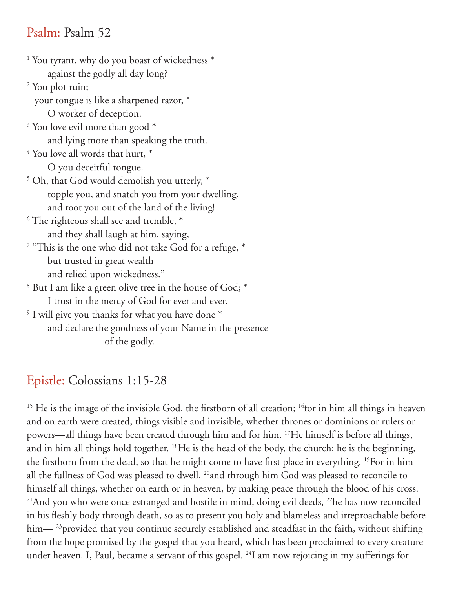#### Psalm: Psalm 52

1 You tyrant, why do you boast of wickedness \* against the godly all day long? 2 You plot ruin; your tongue is like a sharpened razor, \* O worker of deception. <sup>3</sup> You love evil more than good  $^*$  and lying more than speaking the truth.  $4$  You love all words that hurt,  $^*$  O you deceitful tongue. 5 Oh, that God would demolish you utterly, \* topple you, and snatch you from your dwelling, and root you out of the land of the living!  $^6$  The righteous shall see and tremble,  $^\ast$  and they shall laugh at him, saying,  $^7$  "This is the one who did not take God for a refuge,  $^\ast$  but trusted in great wealth and relied upon wickedness."  $^8$  But I am like a green olive tree in the house of God;  $^\ast$  I trust in the mercy of God for ever and ever.  $^9$  I will give you thanks for what you have done  $^{\ast}$  and declare the goodness of your Name in the presence of the godly.

## Epistle: Colossians 1:15-28

<sup>15</sup> He is the image of the invisible God, the firstborn of all creation; <sup>16</sup>for in him all things in heaven and on earth were created, things visible and invisible, whether thrones or dominions or rulers or powers—all things have been created through him and for him. 17He himself is before all things, and in him all things hold together. 18He is the head of the body, the church; he is the beginning, the firstborn from the dead, so that he might come to have first place in everything. 19For in him all the fullness of God was pleased to dwell, <sup>20</sup>and through him God was pleased to reconcile to himself all things, whether on earth or in heaven, by making peace through the blood of his cross. <sup>21</sup>And you who were once estranged and hostile in mind, doing evil deeds, <sup>22</sup>he has now reconciled in his fleshly body through death, so as to present you holy and blameless and irreproachable before him— <sup>23</sup> provided that you continue securely established and steadfast in the faith, without shifting from the hope promised by the gospel that you heard, which has been proclaimed to every creature under heaven. I, Paul, became a servant of this gospel. <sup>24</sup>I am now rejoicing in my sufferings for